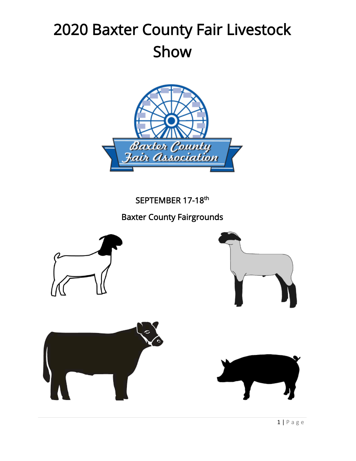# 2020 Baxter County Fair Livestock Show



SEPTEMBER 17-18<sup>th</sup>

Baxter County Fairgrounds







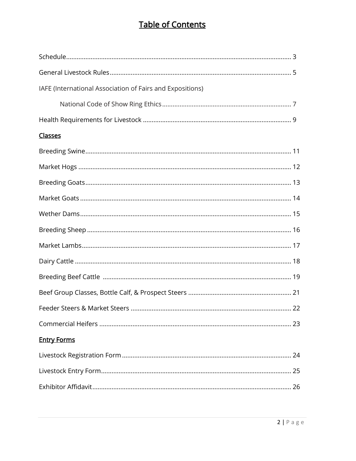# **Table of Contents**

| IAFE (International Association of Fairs and Expositions) |  |
|-----------------------------------------------------------|--|
|                                                           |  |
|                                                           |  |
| <b>Classes</b>                                            |  |
|                                                           |  |
|                                                           |  |
|                                                           |  |
|                                                           |  |
|                                                           |  |
|                                                           |  |
|                                                           |  |
|                                                           |  |
|                                                           |  |
|                                                           |  |
|                                                           |  |
|                                                           |  |
| <b>Entry Forms</b>                                        |  |
|                                                           |  |
|                                                           |  |
|                                                           |  |
|                                                           |  |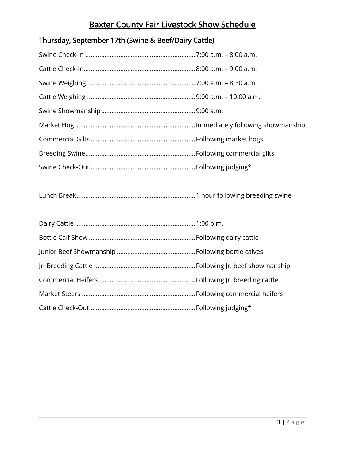# Baxter County Fair Livestock Show Schedule

# Thursday, September 17th (Swine & Beef/Dairy Cattle)

Lunch Break....................................................................1 hour following breeding swine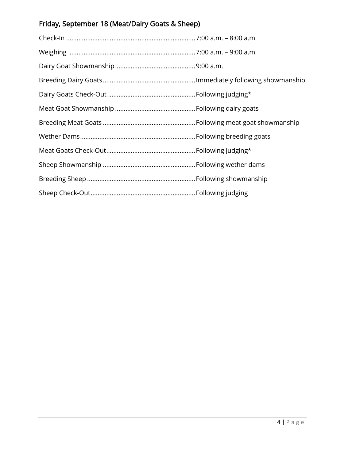# Friday, September 18 (Meat/Dairy Goats & Sheep)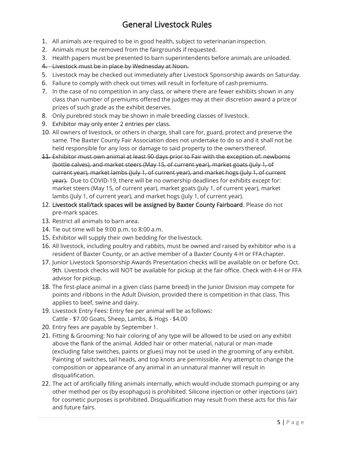# General Livestock Rules

- 1. All animals are required to be in good health, subject to veterinarianinspection.
- 2. Animals must be removed from the fairgrounds if requested.
- 3. Health papers must be presented to barn superintendents before animals are unloaded.
- 4. Livestock must be in place by Wednesday at Noon.
- 5. Livestock may be checked out immediately after Livestock Sponsorship awards on Saturday.
- 6. Failure to comply with check out times will result in forfeiture of cashpremiums.
- 7. In the case of no competition in any class, or where there are fewer exhibits shown in any class than number of premiums offered the judges may at their discretion award a prize or prizes of such grade as the exhibit deserves.
- 8. Only purebred stock may be shown in male breeding classes of livestock.
- 9. Exhibitor may only enter 2 entries per class.
- 10. All owners of livestock, or others in charge, shall care for, guard, protect and preserve the same. The Baxter County Fair Association does not undertake to do so and it shall not be held responsible for any loss or damage to said property to the owners thereof.
- 11. Exhibitor must own animal at least 90 days prior to Fair with the exception of: newborns (bottle calves), and market steers (May 15, of current year), market goats (July 1, of current year), market lambs (July 1, of current year), and market hogs (July 1, of current year). Due to COVID-19, there will be no ownership deadlines for exhibits except for: market steers (May 15, of current year), market goats (July 1, of current year), market lambs (July 1, of current year), and market hogs (July 1, of current year).
- 12. Livestock stall/tack spaces will be assigned by Baxter County Fairboard. Please do not pre-mark spaces.
- 13. Restrict all animals to barn area.
- 14. Tie out time will be 9:00 p.m. to 8:00 a.m.
- 15. Exhibitor will supply their own bedding for the livestock.
- 16. All livestock, including poultry and rabbits, must be owned and raised by exhibitor who is a resident of Baxter County, or an active member of a Baxter County 4-H or FFAchapter.
- 17. Junior Livestock Sponsorship Awards Presentation checks will be available on or before Oct. 9th. Livestock checks will NOT be available for pickup at the fair office. Check with 4-H or FFA advisor for pickup.
- 18. The first-place animal in a given class (same breed) in the Junior Division may compete for points and ribbons in the Adult Division, provided there is competition in that class. This applies to beef, swine and dairy.
- 19. Livestock Entry Fees: Entry fee per animal will be as follows: Cattle - \$7.00 Goats, Sheep, Lambs, & Hogs - \$4.00
- 20. Entry fees are payable by September 1.
- 21. Fitting & Grooming: No hair coloring of any type will be allowed to be used on any exhibit above the flank of the animal. Added hair or other material, natural or man-made (excluding false switches, paints or glues) may not be used in the grooming of any exhibit. Painting of switches, tail heads, and top knots are permissible. Any attempt to change the composition or appearance of any animal in an unnatural manner will result in disqualification.
- 22. The act of artificially filling animals internally, which would include stomach pumping or any other method per os (by esophagus) is prohibited. Silicone injection or other injections (air) for cosmetic purposes is prohibited. Disqualification may result from these acts for this fair and future fairs.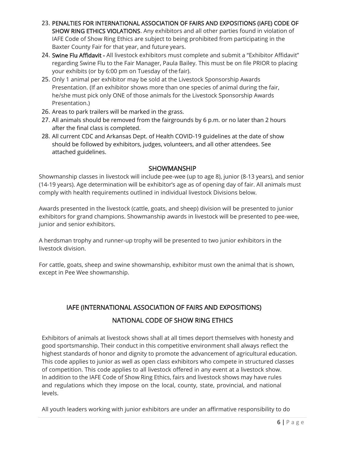- 23. PENALTIES FOR INTERNATIONAL ASSOCIATION OF FAIRS AND EXPOSITIONS (IAFE) CODE OF SHOW RING ETHICS VIOLATIONS. Any exhibitors and all other parties found in violation of IAFE Code of Show Ring Ethics are subject to being prohibited from participating in the Baxter County Fair for that year, and future years.
- 24. Swine Flu Affidavit All livestock exhibitors must complete and submit a "Exhibitor Affidavit" regarding Swine Flu to the Fair Manager, Paula Bailey. This must be on file PRIOR to placing your exhibits (or by 6:00 pm on Tuesday of the fair).
- 25. Only 1 animal per exhibitor may be sold at the Livestock Sponsorship Awards Presentation. (If an exhibitor shows more than one species of animal during the fair, he/she must pick only ONE of those animals for the Livestock Sponsorship Awards Presentation.)
- 26. Areas to park trailers will be marked in the grass.
- 27. All animals should be removed from the fairgrounds by 6 p.m. or no later than 2 hours after the final class is completed.
- 28. All current CDC and Arkansas Dept. of Health COVID-19 guidelines at the date of show should be followed by exhibitors, judges, volunteers, and all other attendees. See attached guidelines.

#### SHOWMANSHIP

Showmanship classes in livestock will include pee-wee (up to age 8), junior (8-13 years), and senior (14-19 years). Age determination will be exhibitor's age as of opening day of fair. All animals must comply with health requirements outlined in individual livestock Divisions below.

Awards presented in the livestock (cattle, goats, and sheep) division will be presented to junior exhibitors for grand champions. Showmanship awards in livestock will be presented to pee-wee, junior and senior exhibitors.

A herdsman trophy and runner-up trophy will be presented to two junior exhibitors in the livestock division.

For cattle, goats, sheep and swine showmanship, exhibitor must own the animal that is shown, except in Pee Wee showmanship.

# IAFE (INTERNATIONAL ASSOCIATION OF FAIRS AND EXPOSITIONS) NATIONAL CODE OF SHOW RING ETHICS

Exhibitors of animals at livestock shows shall at all times deport themselves with honesty and good sportsmanship. Their conduct in this competitive environment shall always reflect the highest standards of honor and dignity to promote the advancement of agricultural education. This code applies to junior as well as open class exhibitors who compete in structured classes of competition. This code applies to all livestock offered in any event at a livestock show. In addition to the IAFE Code of Show Ring Ethics, fairs and livestock shows may have rules and regulations which they impose on the local, county, state, provincial, and national levels.

All youth leaders working with junior exhibitors are under an affirmative responsibility to do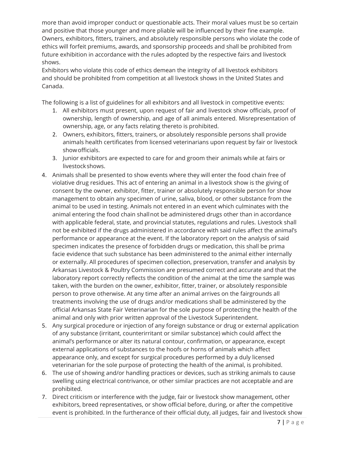more than avoid improper conduct or questionable acts. Their moral values must be so certain and positive that those younger and more pliable will be influenced by their fine example. Owners, exhibitors, fitters, trainers, and absolutely responsible persons who violate the code of ethics will forfeit premiums, awards, and sponsorship proceeds and shall be prohibited from future exhibition in accordance with the rules adopted by the respective fairs and livestock shows.

Exhibitors who violate this code of ethics demean the integrity of all livestock exhibitors and should be prohibited from competition at all livestock shows in the United States and Canada.

The following is a list of guidelines for all exhibitors and all livestock in competitive events:

- 1. All exhibitors must present, upon request of fair and livestock show officials, proof of ownership, length of ownership, and age of all animals entered. Misrepresentation of ownership, age, or any facts relating thereto is prohibited.
- 2. Owners, exhibitors, fitters, trainers, or absolutely responsible persons shall provide animals health certificates from licensed veterinarians upon request by fair or livestock showofficials.
- 3. Junior exhibitors are expected to care for and groom their animals while at fairs or livestockshows.
- 4. Animals shall be presented to show events where they will enter the food chain free of violative drug residues. This act of entering an animal in a livestock show is the giving of consent by the owner, exhibitor, fitter, trainer or absolutely responsible person for show management to obtain any specimen of urine, saliva, blood, or other substance from the animal to be used in testing. Animals not entered in an event which culminates with the animal entering the food chain shallnot be administered drugs other than in accordance with applicable federal, state, and provincial statutes, regulations and rules. Livestock shall not be exhibited if the drugs administered in accordance with said rules affect the animal's performance or appearance at the event. If the laboratory report on the analysis of said specimen indicates the presence of forbidden drugs or medication, this shall be prima facie evidence that such substance has been administered to the animal either internally or externally. All procedures of specimen collection, preservation, transfer and analysis by Arkansas Livestock & Poultry Commission are presumed correct and accurate and that the laboratory report correctly reflects the condition of the animal at the time the sample was taken, with the burden on the owner, exhibitor, fitter, trainer, or absolutely responsible person to prove otherwise. At any time after an animal arrives on the fairgrounds all treatments involving the use of drugs and/or medications shall be administered by the official Arkansas State Fair Veterinarian for the sole purpose of protecting the health of the animal and only with prior written approval of the Livestock Superintendent.
- 5. Any surgical procedure or injection of any foreign substance or drug or external application of any substance (irritant, counterirritant or similar substance) which could affect the animal's performance or alter its natural contour, confirmation, or appearance, except external applications of substances to the hoofs or horns of animals which affect appearance only, and except for surgical procedures performed by a duly licensed veterinarian for the sole purpose of protecting the health of the animal, is prohibited.
- 6. The use of showing and/or handling practices or devices, such as striking animals to cause swelling using electrical contrivance, or other similar practices are not acceptable and are prohibited.
- 7. Direct criticism or interference with the judge, fair or livestock show management, other exhibitors, breed representatives, or show official before, during, or after the competitive event is prohibited. In the furtherance of their official duty, all judges, fair and livestock show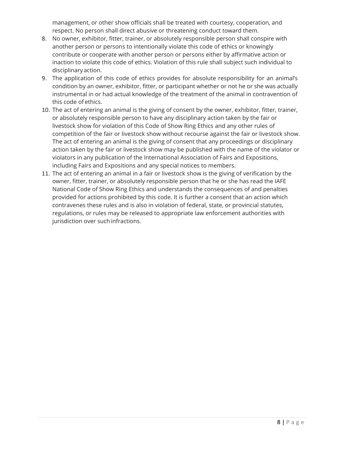management, or other show officials shall be treated with courtesy, cooperation, and respect. No person shall direct abusive or threatening conduct toward them.

- 8. No owner, exhibitor, fitter, trainer, or absolutely responsible person shall conspire with another person or persons to intentionally violate this code of ethics or knowingly contribute or cooperate with another person or persons either by affirmative action or inaction to violate this code of ethics. Violation of this rule shall subject such individual to disciplinary action.
- 9. The application of this code of ethics provides for absolute responsibility for an animal's condition by an owner, exhibitor, fitter, or participant whether or not he or she was actually instrumental in or had actual knowledge of the treatment of the animal in contravention of this code of ethics.
- 10. The act of entering an animal is the giving of consent by the owner, exhibitor, fitter, trainer, or absolutely responsible person to have any disciplinary action taken by the fair or livestock show for violation of this Code of Show Ring Ethics and any other rules of competition of the fair or livestock show without recourse against the fair or livestock show. The act of entering an animal is the giving of consent that any proceedings or disciplinary action taken by the fair or livestock show may be published with the name of the violator or violators in any publication of the International Association of Fairs and Expositions, including Fairs and Expositions and any special notices to members.
- 11. The act of entering an animal in a fair or livestock show is the giving of verification by the owner, fitter, trainer, or absolutely responsible person that he or she has read the IAFE National Code of Show Ring Ethics and understands the consequences of and penalties provided for actions prohibited by this code. It is further a consent that an action which contravenes these rules and is also in violation of federal, state, or provincial statutes, regulations, or rules may be released to appropriate law enforcement authorities with jurisdiction over such infractions.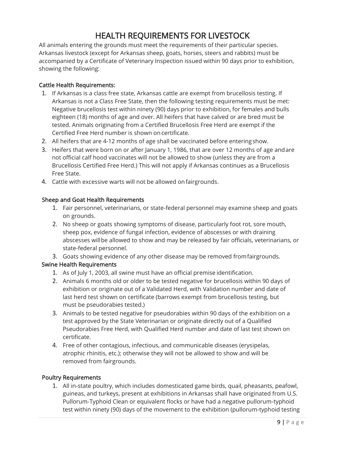# HEALTH REQUIREMENTS FOR LIVESTOCK

All animals entering the grounds must meet the requirements of their particular species. Arkansas livestock (except for Arkansas sheep, goats, horses, steers and rabbits) must be accompanied by a Certificate of Veterinary Inspection issued within 90 days prior to exhibition, showing the following:

#### Cattle Health Requirements:

- 1. If Arkansas is a class free state, Arkansas cattle are exempt from brucellosis testing. If Arkansas is not a Class Free State, then the following testing requirements must be met: Negative brucellosis test within ninety (90) days prior to exhibition, for females and bulls eighteen (18) months of age and over. All heifers that have calved or are bred must be tested. Animals originating from a Certified Brucellosis Free Herd are exempt if the Certified Free Herd number is shown oncertificate.
- 2. All heifers that are 4-12 months of age shall be vaccinated before enteringshow.
- 3. Heifers that were born on or after January 1, 1986, that are over 12 months of age andare not official calf hood vaccinates will not be allowed to show (unless they are from a Brucellosis Certified Free Herd.) This will not apply if Arkansas continues as a Brucellosis Free State.
- 4. Cattle with excessive warts will not be allowed onfairgrounds.

#### Sheep and Goat Health Requirements

- 1. Fair personnel, veterinarians, or state-federal personnel may examine sheep and goats on grounds.
- 2. No sheep or goats showing symptoms of disease, particularly foot rot, sore mouth, sheep pox, evidence of fungal infection, evidence of abscesses or with draining abscesses willbe allowed to show and may be released by fair officials, veterinarians, or state-federal personnel.
- 3. Goats showing evidence of any other disease may be removed fromfairgrounds.

#### Swine Health Requirements

- 1. As of July 1, 2003, all swine must have an official premise identification.
- 2. Animals 6 months old or older to be tested negative for brucellosis within 90 days of exhibition or originate out of a Validated Herd, with Validation number and date of last herd test shown on certificate (barrows exempt from brucellosis testing, but must be pseudorabies tested.)
- 3. Animals to be tested negative for pseudorabies within 90 days of the exhibition on a test approved by the State Veterinarian or originate directly out of a Qualified Pseudorabies Free Herd, with Qualified Herd number and date of last test shown on certificate.
- 4. Free of other contagious, infectious, and communicable diseases (erysipelas, atrophic rhinitis, etc.); otherwise they will not be allowed to show and will be removed from fairgrounds.

#### Poultry Requirements

1. All in-state poultry, which includes domesticated game birds, quail, pheasants, peafowl, guineas, and turkeys, present at exhibitions in Arkansas shall have originated from U.S. Pullorum-Typhoid Clean or equivalent flocks or have had a negative pullorum-typhoid test within ninety (90) days of the movement to the exhibition (pullorum-typhoid testing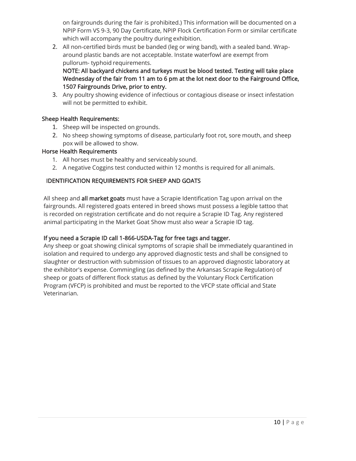on fairgrounds during the fair is prohibited.) This information will be documented on a NPIP Form VS 9-3, 90 Day Certificate, NPIP Flock Certification Form or similar certificate which will accompany the poultry during exhibition.

2. All non-certified birds must be banded (leg or wing band), with a sealed band. Wraparound plastic bands are not acceptable. Instate waterfowl are exempt from pullorum- typhoid requirements.

NOTE: All backyard chickens and turkeys must be blood tested. Testing will take place Wednesday of the fair from 11 am to 6 pm at the lot next door to the Fairground Office, 1507 Fairgrounds Drive, prior to entry.

3. Any poultry showing evidence of infectious or contagious disease or insect infestation will not be permitted to exhibit.

#### Sheep Health Requirements:

- 1. Sheep will be inspected on grounds.
- 2. No sheep showing symptoms of disease, particularly foot rot, sore mouth, and sheep pox will be allowed to show.

#### Horse Health Requirements

- 1. All horses must be healthy and serviceably sound.
- 2. A negative Coggins test conducted within 12 months is required for all animals.

#### IDENTIFICATION REQUIREMENTS FOR SHEEP AND GOATS

All sheep and all market goats must have a Scrapie Identification Tag upon arrival on the fairgrounds. All registered goats entered in breed shows must possess a legible tattoo that is recorded on registration certificate and do not require a Scrapie ID Tag. Any registered animal participating in the Market Goat Show must also wear a Scrapie ID tag.

#### If you need a Scrapie ID call 1-866-USDA-Tag for free tags and tagger.

Any sheep or goat showing clinical symptoms of scrapie shall be immediately quarantined in isolation and required to undergo any approved diagnostic tests and shall be consigned to slaughter or destruction with submission of tissues to an approved diagnostic laboratory at the exhibitor's expense. Commingling (as defined by the Arkansas Scrapie Regulation) of sheep or goats of different flock status as defined by the Voluntary Flock Certification Program (VFCP) is prohibited and must be reported to the VFCP state official and State Veterinarian.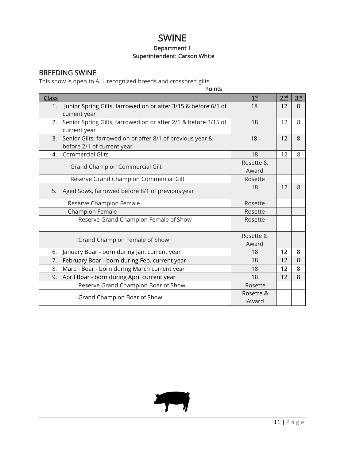# SWINE

#### Department 1 Superintendent: Carson White

### BREEDING SWINE

This show is open to ALL recognized breeds and crossbred gilts.

|                | <b>Points</b>                                                                           |                    |                 |                 |
|----------------|-----------------------------------------------------------------------------------------|--------------------|-----------------|-----------------|
| <b>Class</b>   |                                                                                         | 1 <sup>st</sup>    | 2 <sup>nd</sup> | 3 <sup>rd</sup> |
| 1.             | Junior Spring Gilts, farrowed on or after 3/15 & before 6/1 of<br>current year          | 18                 | 12              | 8               |
| 2.             | Senior Spring Gilts, farrowed on or after 2/1 & before 3/15 of<br>current year          | 18                 | 12              | 8               |
| $\mathbf{3}$ . | Senior Gilts, farrowed on or after 8/1 of previous year &<br>before 2/1 of current year | 18                 | 12              | 8               |
| 4.             | <b>Commercial Gilts</b>                                                                 | 18                 | 12              | 8               |
|                | Grand Champion Commercial Gilt                                                          | Rosette &<br>Award |                 |                 |
|                | Reserve Grand Champion Commercial Gilt                                                  | Rosette            |                 |                 |
| 5.             | Aged Sows, farrowed before 8/1 of previous year                                         | 18                 | 12              | 8               |
|                | Reserve Champion Female                                                                 | Rosette            |                 |                 |
|                | Champion Female                                                                         | Rosette            |                 |                 |
|                | Reserve Grand Champion Female of Show                                                   | Rosette            |                 |                 |
|                | Grand Champion Female of Show                                                           | Rosette &<br>Award |                 |                 |
| 6.             | January Boar - born during Jan. current year                                            | 18                 | 12              | 8               |
| 7.             | February Boar - born during Feb. current year                                           | 18                 | 12              | 8               |
| 8.             | March Boar - born during March current year                                             | 18                 | 12              | 8               |
| 9.             | April Boar - born during April current year                                             | 18                 | 12              | 8               |
|                | Reserve Grand Champion Boar of Show                                                     | Rosette            |                 |                 |
|                | Grand Champion Boar of Show                                                             | Rosette &<br>Award |                 |                 |

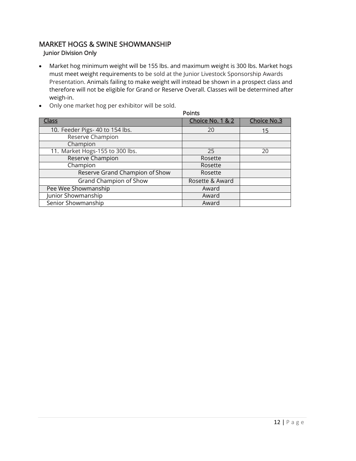### MARKET HOGS & SWINE SHOWMANSHIP Junior Division Only

- Market hog minimum weight will be 155 lbs. and maximum weight is 300 lbs. Market hogs must meet weight requirements to be sold at the Junior Livestock Sponsorship Awards Presentation. Animals failing to make weight will instead be shown in a prospect class and therefore will not be eligible for Grand or Reserve Overall. Classes will be determined after weigh-in.
- **Points** Class Class Class Class Choice No. 1 & 2 Choice No.3 10. Feeder Pigs- 40 to 154 lbs. 20 15 Reserve Champion **Champion** 11. Market Hogs-155 to 300 lbs. 25 20 Reserve Champion Rosette Champion Rosette Reserve Grand Champion of Show Rosette Grand Champion of Show Rosette & Award Pee Wee Showmanship Award Junior Showmanship Award Senior Showmanship Award
- Only one market hog per exhibitor will be sold.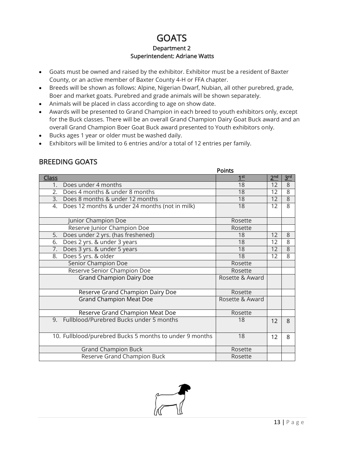### **GOATS** Department 2 Superintendent: Adriane Watts

- Goats must be owned and raised by the exhibitor. Exhibitor must be a resident of Baxter County, or an active member of Baxter County 4-H or FFA chapter.
- Breeds will be shown as follows: Alpine, Nigerian Dwarf, Nubian, all other purebred, grade, Boer and market goats. Purebred and grade animals will be shown separately.
- Animals will be placed in class according to age on show date.
- Awards will be presented to Grand Champion in each breed to youth exhibitors only, except for the Buck classes. There will be an overall Grand Champion Dairy Goat Buck award and an overall Grand Champion Boer Goat Buck award presented to Youth exhibitors only.
- Bucks ages 1 year or older must be washed daily.
- Exhibitors will be limited to 6 entries and/or a total of 12 entries per family.

### BREEDING GOATS

|                                                         | <b>Points</b>   |                 |                 |
|---------------------------------------------------------|-----------------|-----------------|-----------------|
| <b>Class</b>                                            | 1 <sup>st</sup> | 2 <sup>nd</sup> | 3 <sup>rd</sup> |
| Does under 4 months<br>1.                               | 18              | 12              | 8               |
| 2. Does 4 months & under 8 months                       | 18              | 12              | 8               |
| 3. Does 8 months & under 12 months                      | 18              | 12              | $\overline{8}$  |
| 4. Does 12 months & under 24 months (not in milk)       | 18              | 12              | 8               |
| Junior Champion Doe                                     | Rosette         |                 |                 |
| Reserve Junior Champion Doe                             | Rosette         |                 |                 |
| Does under 2 yrs. (has freshened)<br>5.                 | 18              | 12              | 8               |
| Does 2 yrs. & under 3 years<br>6.                       | 18              | 12              | 8               |
| 7.<br>Does 3 yrs. & under 5 years                       | 18              | 12              | $\overline{8}$  |
| Does 5 yrs. & older<br>8.                               | 18              | 12              | 8               |
| <b>Senior Champion Doe</b>                              | Rosette         |                 |                 |
| Reserve Senior Champion Doe                             | Rosette         |                 |                 |
| <b>Grand Champion Dairy Doe</b>                         | Rosette & Award |                 |                 |
| Reserve Grand Champion Dairy Doe                        | Rosette         |                 |                 |
| <b>Grand Champion Meat Doe</b>                          | Rosette & Award |                 |                 |
| Reserve Grand Champion Meat Doe                         | Rosette         |                 |                 |
| 9. Fullblood/Purebred Bucks under 5 months              | 18              | 12              | 8               |
| 10. Fullblood/purebred Bucks 5 months to under 9 months | 18              | 12              | 8               |
| <b>Grand Champion Buck</b>                              | Rosette         |                 |                 |
| Reserve Grand Champion Buck                             | Rosette         |                 |                 |

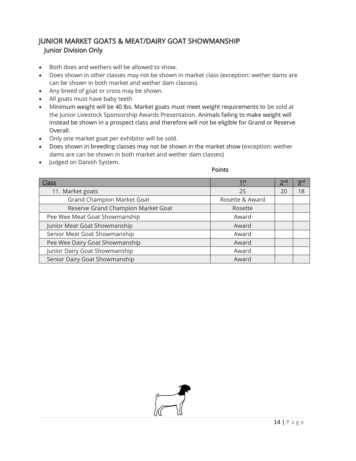### JUNIOR MARKET GOATS & MEAT/DAIRY GOAT SHOWMANSHIP Junior Division Only

- Both does and wethers will be allowed to show.
- Does shown in other classes may not be shown in market class (exception: wether dams are can be shown in both market and wether dam classes).
- Any breed of goat or cross may be shown.
- All goats must have baby teeth
- Minimum weight will be 40 lbs. Market goats must meet weight requirements to be sold at the Junior Livestock Sponsorship Awards Presentation. Animals failing to make weight will instead be shown in a prospect class and therefore will not be eligible for Grand or Reserve Overall.
- Only one market goat per exhibitor will be sold.
- Does shown in breeding classes may not be shown in the market show (exception: wether dams are can be shown in both market and wether dam classes)
- Judged on Danish System.

Points

| <u>Class</u>                       | 1 <sup>st</sup> | 2 <sup>nd</sup> | 3 <sup>rd</sup> |
|------------------------------------|-----------------|-----------------|-----------------|
| 11. Market goats                   | 25              | 20              | 18              |
| <b>Grand Champion Market Goat</b>  | Rosette & Award |                 |                 |
| Reserve Grand Champion Market Goat | Rosette         |                 |                 |
| Pee Wee Meat Goat Showmanship      | Award           |                 |                 |
| Junior Meat Goat Showmanship       | Award           |                 |                 |
| Senior Meat Goat Showmanship       | Award           |                 |                 |
| Pee Wee Dairy Goat Showmanship     | Award           |                 |                 |
| Junior Dairy Goat Showmanship      | Award           |                 |                 |
| Senior Dairy Goat Showmanship      | Award           |                 |                 |

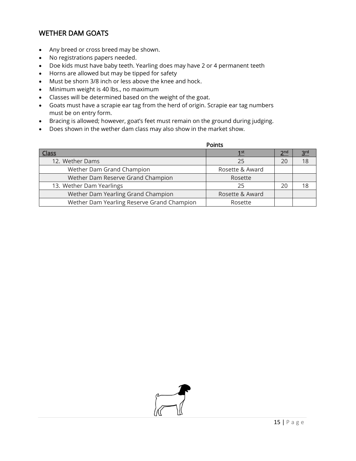### WETHER DAM GOATS

- Any breed or cross breed may be shown.
- No registrations papers needed.
- Doe kids must have baby teeth. Yearling does may have 2 or 4 permanent teeth
- Horns are allowed but may be tipped for safety
- Must be shorn 3/8 inch or less above the knee and hock.
- Minimum weight is 40 lbs., no maximum
- Classes will be determined based on the weight of the goat.
- Goats must have a scrapie ear tag from the herd of origin. Scrapie ear tag numbers must be on entry form.
- Bracing is allowed; however, goat's feet must remain on the ground during judging.
- Does shown in the wether dam class may also show in the market show.

|                                            | <b>Points</b>   |                 |                 |
|--------------------------------------------|-----------------|-----------------|-----------------|
| lass                                       | 1 <sup>st</sup> | 2 <sup>nd</sup> | 3 <sup>rd</sup> |
| 12. Wether Dams                            | 25              | 20              | 18              |
| Wether Dam Grand Champion                  | Rosette & Award |                 |                 |
| Wether Dam Reserve Grand Champion          | Rosette         |                 |                 |
| 13. Wether Dam Yearlings                   | 25              | 20              | 18              |
| Wether Dam Yearling Grand Champion         | Rosette & Award |                 |                 |
| Wether Dam Yearling Reserve Grand Champion | Rosette         |                 |                 |

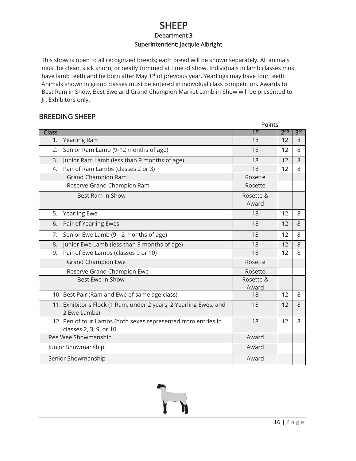### SHEEP Department 3 Superintendent: Jacquie Albright

This show is open to all recognized breeds; each breed will be shown separately. All animals must be clean, slick shorn, or neatly trimmed at time of show. Individuals in lamb classes must have lamb teeth and be born after May 1<sup>st</sup> of previous year. Yearlings may have four teeth. Animals shown in group classes must be entered in individual class competition. Awards to Best Ram in Show, Best Ewe and Grand Champion Market Lamb in Show will be presented to Jr. Exhibitors only.

### BREEDING SHEEP

|                                                                                         | <b>Points</b>      |                 |                 |
|-----------------------------------------------------------------------------------------|--------------------|-----------------|-----------------|
| <u>Class</u>                                                                            | 1 <sup>st</sup>    | 2 <sub>nd</sub> | 3 <sup>rd</sup> |
| Yearling Ram<br>1.                                                                      | 18                 | 12              | 8               |
| Senior Ram Lamb (9-12 months of age)<br>2.                                              | 18                 | 12              | 8               |
| Junior Ram Lamb (less than 9 months of age)<br>3.                                       | 18                 | 12              | 8               |
| Pair of Ram Lambs (classes 2 or 3)<br>4.                                                | 18                 | 12              | 8               |
| <b>Grand Champion Ram</b>                                                               | Rosette            |                 |                 |
| Reserve Grand Champion Ram                                                              | Rosette            |                 |                 |
| Best Ram in Show                                                                        | Rosette &<br>Award |                 |                 |
| 5.<br><b>Yearling Ewe</b>                                                               | 18                 | 12              | 8               |
| Pair of Yearling Ewes<br>6.                                                             | 18                 | 12              | 8               |
| 7.<br>Senior Ewe Lamb (9-12 months of age)                                              | 18                 | 12              | 8               |
| Junior Ewe Lamb (less than 9 months of age)<br>8.                                       | 18                 | 12              | 8               |
| Pair of Ewe Lambs (classes 9 or 10)<br>9.                                               | 18                 | 12              | 8               |
| <b>Grand Champion Ewe</b>                                                               | Rosette            |                 |                 |
| Reserve Grand Champion Ewe                                                              | Rosette            |                 |                 |
| Best Ewe in Show                                                                        | Rosette &          |                 |                 |
|                                                                                         | Award              |                 |                 |
| 10. Best Pair (Ram and Ewe of same age class)                                           | 18                 | 12              | 8               |
| 11. Exhibitor's Flock (1 Ram, under 2 years, 2 Yearling Ewes; and<br>2 Ewe Lambs)       | 18                 | 12              | 8               |
| 12. Pen of four Lambs (both sexes represented from entries in<br>classes 2, 3, 9, or 10 | 18                 | 12              | 8               |
| Pee Wee Showmanship                                                                     | Award              |                 |                 |
| Junior Showmanship                                                                      | Award              |                 |                 |
| Senior Showmanship                                                                      | Award              |                 |                 |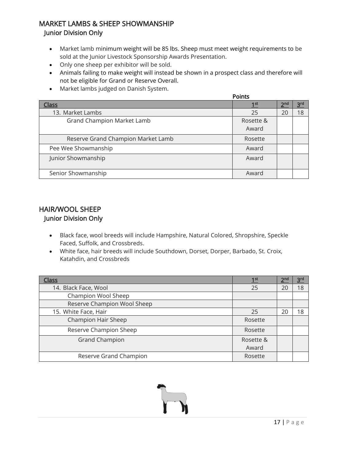### MARKET LAMBS & SHEEP SHOWMANSHIP Junior Division Only

- Market lamb minimum weight will be 85 lbs. Sheep must meet weight requirements to be sold at the Junior Livestock Sponsorship Awards Presentation.
- Only one sheep per exhibitor will be sold.
- Animals failing to make weight will instead be shown in a prospect class and therefore will not be eligible for Grand or Reserve Overall.
- Market lambs judged on Danish System.

|                                    | Points          |                 |                 |
|------------------------------------|-----------------|-----------------|-----------------|
| <b>Class</b>                       | 1 <sup>st</sup> | 2 <sup>nd</sup> | 3 <sup>rd</sup> |
| 13. Market Lambs                   | 25              | 20              | 18              |
| Grand Champion Market Lamb         | Rosette &       |                 |                 |
|                                    | Award           |                 |                 |
| Reserve Grand Champion Market Lamb | Rosette         |                 |                 |
| Pee Wee Showmanship                | Award           |                 |                 |
| Junior Showmanship                 | Award           |                 |                 |
| Senior Showmanship                 | Award           |                 |                 |

### HAIR/WOOL SHEEP Junior Division Only

- Black face, wool breeds will include Hampshire, Natural Colored, Shropshire, Speckle Faced, Suffolk, and Crossbreds.
- White face, hair breeds will include Southdown, Dorset, Dorper, Barbado, St. Croix, Katahdin, and Crossbreds

| <u>Class</u>                | 1 <sup>st</sup> | 2 <sup>nd</sup> | 3 <sup>rd</sup> |
|-----------------------------|-----------------|-----------------|-----------------|
| 14. Black Face, Wool        | 25              | 20              | 18              |
| Champion Wool Sheep         |                 |                 |                 |
| Reserve Champion Wool Sheep |                 |                 |                 |
| 15. White Face, Hair        | 25              | 20              | 18              |
| Champion Hair Sheep         | Rosette         |                 |                 |
| Reserve Champion Sheep      | Rosette         |                 |                 |
| <b>Grand Champion</b>       | Rosette &       |                 |                 |
|                             | Award           |                 |                 |
| Reserve Grand Champion      | Rosette         |                 |                 |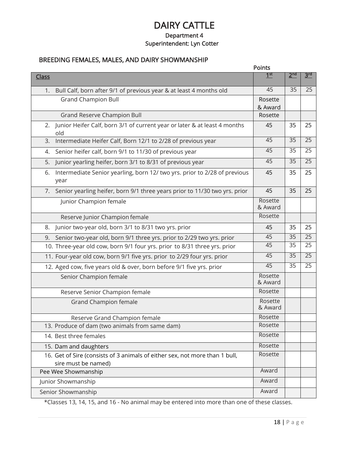### DAIRY CATTLE Department 4 Superintendent: Lyn Cotter

### BREEDING FEMALES, MALES, AND DAIRY SHOWMANSHIP

|                                                                                                    | Points             |                 |                 |
|----------------------------------------------------------------------------------------------------|--------------------|-----------------|-----------------|
| <b>Class</b>                                                                                       | 1 <sup>st</sup>    | 2 <sup>nd</sup> | 3 <sub>kd</sub> |
| Bull Calf, born after 9/1 of previous year & at least 4 months old<br>1.                           | 45                 | 35              | 25              |
| <b>Grand Champion Bull</b>                                                                         | Rosette<br>& Award |                 |                 |
| Grand Reserve Champion Bull                                                                        | Rosette            |                 |                 |
| Junior Heifer Calf, born 3/1 of current year or later & at least 4 months<br>2.<br>old             | 45                 | 35              | 25              |
| Intermediate Heifer Calf, Born 12/1 to 2/28 of previous year<br>3.                                 | 45                 | 35              | 25              |
| Senior heifer calf, born 9/1 to 11/30 of previous year<br>4.                                       | 45                 | 35              | 25              |
| Junior yearling heifer, born 3/1 to 8/31 of previous year<br>5.                                    | 45                 | 35              | 25              |
| Intermediate Senior yearling, born 12/ two yrs. prior to 2/28 of previous<br>6.<br>year            | 45                 | 35              | 25              |
| 7. Senior yearling heifer, born 9/1 three years prior to 11/30 two yrs. prior                      | 45                 | 35              | 25              |
| Junior Champion female                                                                             | Rosette<br>& Award |                 |                 |
| Reserve Junior Champion female                                                                     | Rosette            |                 |                 |
| Junior two-year old, born 3/1 to 8/31 two yrs. prior<br>8.                                         | 45                 | 35              | 25              |
| Senior two-year old, born 9/1 three yrs. prior to 2/29 two yrs. prior<br>9.                        | 45                 | $\overline{35}$ | $\overline{25}$ |
| 10. Three-year old cow, born 9/1 four yrs. prior to 8/31 three yrs. prior                          | 45                 | 35              | 25              |
| 11. Four-year old cow, born 9/1 five yrs. prior to 2/29 four yrs. prior                            | 45                 | 35              | 25              |
| 12. Aged cow, five years old & over, born before 9/1 five yrs. prior                               | 45                 | 35              | 25              |
| Senior Champion female                                                                             | Rosette<br>& Award |                 |                 |
| Reserve Senior Champion female                                                                     | Rosette            |                 |                 |
| Grand Champion female                                                                              | Rosette<br>& Award |                 |                 |
| Reserve Grand Champion female                                                                      | Rosette            |                 |                 |
| 13. Produce of dam (two animals from same dam)                                                     | Rosette            |                 |                 |
| 14. Best three females                                                                             | Rosette            |                 |                 |
| 15. Dam and daughters                                                                              | Rosette            |                 |                 |
| 16. Get of Sire (consists of 3 animals of either sex, not more than 1 bull,<br>sire must be named) | Rosette            |                 |                 |
| Pee Wee Showmanship                                                                                | Award              |                 |                 |
| Junior Showmanship                                                                                 | Award              |                 |                 |
| Senior Showmanship                                                                                 | Award              |                 |                 |

\*Classes 13, 14, 15, and 16 - No animal may be entered into more than one of these classes.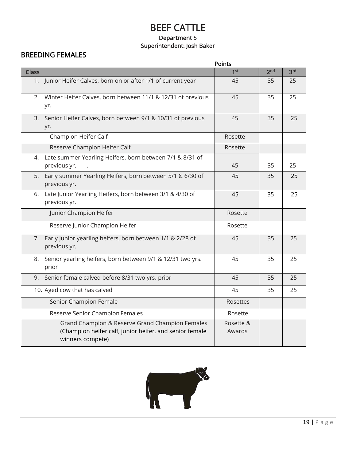### BEEF CATTLE Department 5 Superintendent: Josh Baker

### BREEDING FEMALES

|              | <b>Points</b>                                                                                                                  |                     |                 |                 |
|--------------|--------------------------------------------------------------------------------------------------------------------------------|---------------------|-----------------|-----------------|
| <b>Class</b> |                                                                                                                                | 1 <sup>st</sup>     | 2 <sub>nd</sub> | 3 <sup>rd</sup> |
|              | 1. Junior Heifer Calves, born on or after 1/1 of current year                                                                  | 45                  | 35              | 25              |
| 2.           | Winter Heifer Calves, born between 11/1 & 12/31 of previous<br>yr.                                                             | 45                  | 35              | 25              |
| 3.           | Senior Heifer Calves, born between 9/1 & 10/31 of previous<br>yr.                                                              | 45                  | 35              | 25              |
|              | Champion Heifer Calf                                                                                                           | Rosette             |                 |                 |
|              | Reserve Champion Heifer Calf                                                                                                   | Rosette             |                 |                 |
| 4.           | Late summer Yearling Heifers, born between 7/1 & 8/31 of<br>previous yr.                                                       | 45                  | 35              | 25              |
| 5.           | Early summer Yearling Heifers, born between 5/1 & 6/30 of<br>previous yr.                                                      | 45                  | 35              | 25              |
| 6.           | Late Junior Yearling Heifers, born between 3/1 & 4/30 of<br>previous yr.                                                       | 45                  | 35              | 25              |
|              | Junior Champion Heifer                                                                                                         | Rosette             |                 |                 |
|              | Reserve Junior Champion Heifer                                                                                                 | Rosette             |                 |                 |
|              | 7. Early Junior yearling heifers, born between 1/1 & 2/28 of<br>previous yr.                                                   | 45                  | 35              | 25              |
| 8.           | Senior yearling heifers, born between 9/1 & 12/31 two yrs.<br>prior                                                            | 45                  | 35              | 25              |
|              | 9. Senior female calved before 8/31 two yrs. prior                                                                             | 45                  | 35              | 25              |
|              | 10. Aged cow that has calved                                                                                                   | 45                  | 35              | 25              |
|              | Senior Champion Female                                                                                                         | Rosettes            |                 |                 |
|              | Reserve Senior Champion Females                                                                                                | Rosette             |                 |                 |
|              | Grand Champion & Reserve Grand Champion Females<br>(Champion heifer calf, junior heifer, and senior female<br>winners compete) | Rosette &<br>Awards |                 |                 |

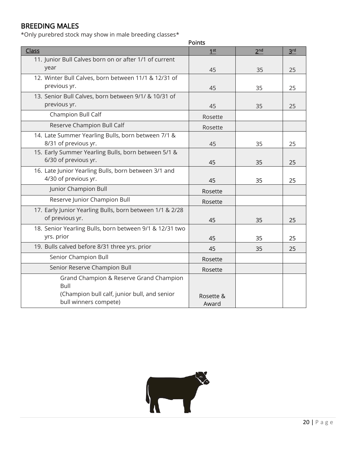### BREEDING MALES

\*Only purebred stock may show in male breeding classes\*

|                                                          | <b>Points</b>   |                 |                 |
|----------------------------------------------------------|-----------------|-----------------|-----------------|
| <b>Class</b>                                             | 1 <sup>st</sup> | 2 <sub>nd</sub> | 3 <sup>rd</sup> |
| 11. Junior Bull Calves born on or after 1/1 of current   |                 |                 |                 |
| year                                                     | 45              | 35              | 25              |
| 12. Winter Bull Calves, born between 11/1 & 12/31 of     |                 |                 |                 |
| previous yr.                                             | 45              | 35              | 25              |
| 13. Senior Bull Calves, born between 9/1/ & 10/31 of     |                 |                 |                 |
| previous yr.                                             | 45              | 35              | 25              |
| Champion Bull Calf                                       | Rosette         |                 |                 |
| Reserve Champion Bull Calf                               | Rosette         |                 |                 |
| 14. Late Summer Yearling Bulls, born between 7/1 &       |                 |                 |                 |
| 8/31 of previous yr.                                     | 45              | 35              | 25              |
| 15. Early Summer Yearling Bulls, born between 5/1 &      |                 |                 |                 |
| 6/30 of previous yr.                                     | 45              | 35              | 25              |
| 16. Late Junior Yearling Bulls, born between 3/1 and     |                 |                 |                 |
| 4/30 of previous yr.                                     | 45              | 35              | 25              |
| Junior Champion Bull                                     | Rosette         |                 |                 |
| Reserve Junior Champion Bull                             | Rosette         |                 |                 |
| 17. Early Junior Yearling Bulls, born between 1/1 & 2/28 |                 |                 |                 |
| of previous yr.                                          | 45              | 35              | 25              |
| 18. Senior Yearling Bulls, born between 9/1 & 12/31 two  |                 |                 |                 |
| yrs. prior                                               | 45              | 35              | 25              |
| 19. Bulls calved before 8/31 three yrs. prior            | 45              | 35              | 25              |
| Senior Champion Bull                                     | Rosette         |                 |                 |
| Senior Reserve Champion Bull                             | Rosette         |                 |                 |
| Grand Champion & Reserve Grand Champion                  |                 |                 |                 |
| Bull                                                     |                 |                 |                 |
| (Champion bull calf, junior bull, and senior             | Rosette &       |                 |                 |
| bull winners compete)                                    | Award           |                 |                 |

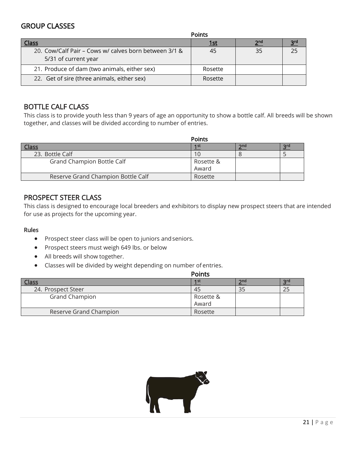### GROUP CLASSES

| Points                                                                        |             |                 |                 |
|-------------------------------------------------------------------------------|-------------|-----------------|-----------------|
| <b>Class</b>                                                                  | <u> 1st</u> | 2 <sub>nd</sub> | 3 <sup>rd</sup> |
| 20. Cow/Calf Pair – Cows w/ calves born between 3/1 &<br>5/31 of current year | 45          | 35              | 25              |
| 21. Produce of dam (two animals, either sex)                                  | Rosette     |                 |                 |
| 22. Get of sire (three animals, either sex)                                   | Rosette     |                 |                 |

### BOTTLE CALF CLASS

This class is to provide youth less than 9 years of age an opportunity to show a bottle calf. All breeds will be shown together, and classes will be divided according to number of entries.

|                                    | <b>Points</b> |     |     |
|------------------------------------|---------------|-----|-----|
|                                    | 1st           | 2nd | 2rd |
| 23. Bottle Calf                    |               |     |     |
| Grand Champion Bottle Calf         | Rosette &     |     |     |
|                                    | Award         |     |     |
| Reserve Grand Champion Bottle Calf | Rosette       |     |     |

### PROSPECT STEER CLASS

This class is designed to encourage local breeders and exhibitors to display new prospect steers that are intended for use as projects for the upcoming year.

#### Rules

- Prospect steer class will be open to juniors andseniors.
- Prospect steers must weigh 649 lbs. or below
- All breeds will show together.
- Classes will be divided by weight depending on number of entries.

|                        | <b>Points</b>   |     |     |
|------------------------|-----------------|-----|-----|
|                        | 1 <sub>st</sub> | 2nd | 2rd |
| 24. Prospect Steer     | 45              | 35  |     |
| <b>Grand Champion</b>  | Rosette &       |     |     |
|                        | Award           |     |     |
| Reserve Grand Champion | Rosette         |     |     |

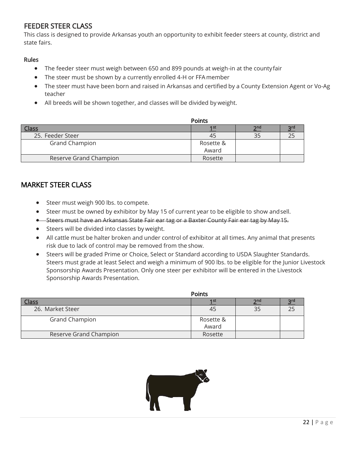### FEEDER STEER CLASS

This class is designed to provide Arkansas youth an opportunity to exhibit feeder steers at county, district and state fairs.

#### Rules

- The feeder steer must weigh between 650 and 899 pounds at weigh-in at the county fair
- The steer must be shown by a currently enrolled 4-H or FFA member
- The steer must have been born and raised in Arkansas and certified by a County Extension Agent or Vo-Ag teacher
- All breeds will be shown together, and classes will be divided by weight.

|                        | <b>Points</b>      |                 |  |
|------------------------|--------------------|-----------------|--|
| Class                  | 1 <sub>st</sub>    | 2 <sub>nd</sub> |  |
| 25. Feeder Steer       | 45                 | 35              |  |
| <b>Grand Champion</b>  | Rosette &<br>Award |                 |  |
| Reserve Grand Champion | Rosette            |                 |  |

### MARKET STEER CLASS

- Steer must weigh 900 lbs. to compete.
- Steer must be owned by exhibitor by May 15 of current year to be eligible to show andsell.
- Steers must have an Arkansas State Fair ear tag or a Baxter County Fair ear tag by May 15.
- Steers will be divided into classes by weight.
- All cattle must be halter broken and under control of exhibitor at all times. Any animal that presents risk due to lack of control may be removed from the show.
- Steers will be graded Prime or Choice, Select or Standard according to USDA Slaughter Standards. Steers must grade at least Select and weigh a minimum of 900 lbs. to be eligible for the Junior Livestock Sponsorship Awards Presentation. Only one steer per exhibitor will be entered in the Livestock Sponsorship Awards Presentation.

|                        | <b>Points</b> |     |  |
|------------------------|---------------|-----|--|
| Class                  | 1 st          | 2nd |  |
| 26. Market Steer       | 45            | 35  |  |
| <b>Grand Champion</b>  | Rosette &     |     |  |
|                        | Award         |     |  |
| Reserve Grand Champion | Rosette       |     |  |

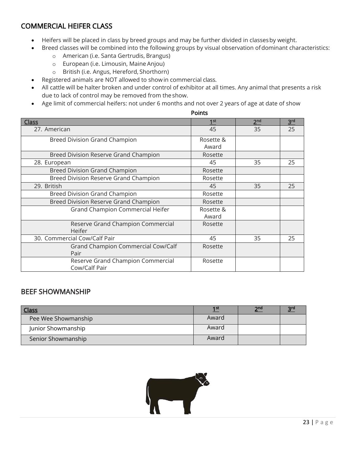### COMMERCIAL HEIFER CLASS

- Heifers will be placed in class by breed groups and may be further divided in classesby weight.
- Breed classes will be combined into the following groups by visual observation ofdominant characteristics:
	- o American (i.e. Santa Gertrudis, Brangus)
	- o European (i.e. Limousin, Maine Anjou)
	- o British (i.e. Angus, Hereford, Shorthorn)
- Registered animals are NOT allowed to showin commercial class.
- All cattle will be halter broken and under control of exhibitor at all times. Any animal that presents a risk due to lack of control may be removed from the show.
- Age limit of commercial heifers: not under 6 months and not over 2 years of age at date of show

| oını |
|------|
|------|

|                                                    | <b>Points</b>      |                 |                 |
|----------------------------------------------------|--------------------|-----------------|-----------------|
| <b>Class</b>                                       | 1 <sup>st</sup>    | 2 <sup>nd</sup> | 3 <sup>rd</sup> |
| 27. American                                       | 45                 | 35              | 25              |
| Breed Division Grand Champion                      | Rosette &<br>Award |                 |                 |
| Breed Division Reserve Grand Champion              | Rosette            |                 |                 |
| 28. European                                       | 45                 | 35              | 25              |
| <b>Breed Division Grand Champion</b>               | Rosette            |                 |                 |
| Breed Division Reserve Grand Champion              | Rosette            |                 |                 |
| 29. British                                        | 45                 | 35              | 25              |
| <b>Breed Division Grand Champion</b>               | Rosette            |                 |                 |
| Breed Division Reserve Grand Champion              | Rosette            |                 |                 |
| Grand Champion Commercial Heifer                   | Rosette &<br>Award |                 |                 |
| Reserve Grand Champion Commercial<br>Heifer        | Rosette            |                 |                 |
| 30. Commercial Cow/Calf Pair                       | 45                 | 35              | 25              |
| Grand Champion Commercial Cow/Calf<br>Pair         | Rosette            |                 |                 |
| Reserve Grand Champion Commercial<br>Cow/Calf Pair | Rosette            |                 |                 |

### BEEF SHOWMANSHIP

| <b>Class</b>        | 1 st  | 2 <sup>nd</sup> | əra |
|---------------------|-------|-----------------|-----|
| Pee Wee Showmanship | Award |                 |     |
| Junior Showmanship  | Award |                 |     |
| Senior Showmanship  | Award |                 |     |

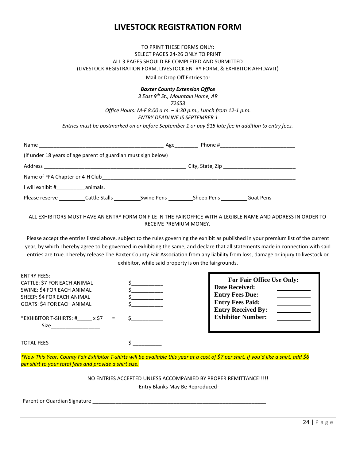### **LIVESTOCK REGISTRATION FORM**

#### TO PRINT THESE FORMS ONLY: SELECT PAGES 24-26 ONLY TO PRINT ALL 3 PAGES SHOULD BE COMPLETED AND SUBMITTED (LIVESTOCK REGISTRATION FORM, LIVESTOCK ENTRY FORM, & EXHIBITOR AFFIDAVIT)

Mail or Drop Off Entries to:

#### *Baxter County Extension Office*

*3 East 9th St., Mountain Home, AR 72653 Office Hours: M-F 8:00 a.m. – 4:30 p.m., Lunch from 12-1 p.m. ENTRY DEADLINE IS SEPTEMBER 1*

*Entries must be postmarked on or before September 1 or pay \$15 late fee in addition to entry fees.*

| Name                                                          |               | Age        | Phone #    |                  |  |
|---------------------------------------------------------------|---------------|------------|------------|------------------|--|
| (if under 18 years of age parent of guardian must sign below) |               |            |            |                  |  |
| Address                                                       |               |            |            |                  |  |
| Name of FFA Chapter or 4-H Club                               |               |            |            |                  |  |
| I will exhibit #                                              | animals.      |            |            |                  |  |
| Please reserve                                                | Cattle Stalls | Swine Pens | Sheep Pens | <b>Goat Pens</b> |  |

#### ALL EXHIBITORS MUST HAVE AN ENTRY FORM ON FILE IN THE FAIROFFICE WITH A LEGIBLE NAME AND ADDRESS IN ORDER TO RECEIVE PREMIUM MONEY.

Please accept the entries listed above, subject to the rules governing the exhibit as published in your premium list of the current year, by which I hereby agree to be governed in exhibiting the same, and declare that all statements made in connection with said entries are true. I hereby release The Baxter County Fair Association from any liability from loss, damage or injury to livestock or exhibitor, while said property is on the fairgrounds.

| <b>ENTRY FEES:</b><br>CATTLE: \$7 FOR EACH ANIMAL<br>SWINE: \$4 FOR EACH ANIMAL<br>SHEEP: \$4 FOR EACH ANIMAL<br><b>GOATS: \$4 FOR EACH ANIMAL</b><br>*EXHIBITOR T-SHIRTS: # x \$7 | <b>For Fair Office Use Only:</b><br><b>Date Received:</b><br><b>Entry Fees Due:</b><br><b>Entry Fees Paid:</b><br><b>Entry Received By:</b><br><b>Exhibitor Number:</b> |
|------------------------------------------------------------------------------------------------------------------------------------------------------------------------------------|-------------------------------------------------------------------------------------------------------------------------------------------------------------------------|
| Size<br><b>TOTAL FEES</b>                                                                                                                                                          |                                                                                                                                                                         |

*\*New This Year: County Fair Exhibitor T-shirts will be available this year at a cost of \$7 per shirt. If you'd like a shirt, add \$6 per shirt to your total fees and provide a shirt size.*

> NO ENTRIES ACCEPTED UNLESS ACCOMPANIED BY PROPER REMITTANCE!!!!! -Entry Blanks May Be Reproduced-

Parent or Guardian Signature \_\_\_\_\_\_\_\_\_\_\_\_\_\_\_\_\_\_\_\_\_\_\_\_\_\_\_\_\_\_\_\_\_\_\_\_\_\_\_\_\_\_\_\_\_\_\_\_\_\_\_\_\_\_\_\_\_\_\_\_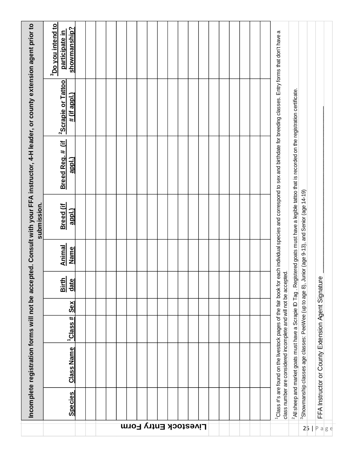| Incomplete registration forms will not be accepted. Consult with your FFA instructor, 4-H leader, or county extension agent prior to<br>submission. | <b>Do you intend to</b><br>showmanship?<br>participate in |                                   |  |  |  |  |  |  |  |           |  |  |  |  | 1 Class #'s are found on the livestock pages of the fair book for each individual species and correspond to sex and birthdate for breeding classes. Entry forms that don't have a |                                                                                                                                                            |                                                                     |  |                                                    |  |
|-----------------------------------------------------------------------------------------------------------------------------------------------------|-----------------------------------------------------------|-----------------------------------|--|--|--|--|--|--|--|-----------|--|--|--|--|-----------------------------------------------------------------------------------------------------------------------------------------------------------------------------------|------------------------------------------------------------------------------------------------------------------------------------------------------------|---------------------------------------------------------------------|--|----------------------------------------------------|--|
|                                                                                                                                                     | <sup>2</sup> Scrapie or Tattoo<br><u># (if appl.)</u>     |                                   |  |  |  |  |  |  |  |           |  |  |  |  |                                                                                                                                                                                   | $^2$ All sheep and market goats must have a Scrapie ID Tag . Registered goats must have a legible tattoo that is recorded on the registration certificate. |                                                                     |  |                                                    |  |
|                                                                                                                                                     | Breed Reg. # (if<br>appl.)                                |                                   |  |  |  |  |  |  |  |           |  |  |  |  |                                                                                                                                                                                   |                                                                                                                                                            |                                                                     |  |                                                    |  |
|                                                                                                                                                     | <b>Breed</b> (if<br><u>appl.)</u>                         |                                   |  |  |  |  |  |  |  |           |  |  |  |  |                                                                                                                                                                                   |                                                                                                                                                            | Junior (age 9-13), and Senior (age 14-19)                           |  |                                                    |  |
|                                                                                                                                                     | Animal<br>Name                                            |                                   |  |  |  |  |  |  |  |           |  |  |  |  |                                                                                                                                                                                   |                                                                                                                                                            |                                                                     |  |                                                    |  |
|                                                                                                                                                     | <b>Birth</b><br>date                                      |                                   |  |  |  |  |  |  |  |           |  |  |  |  |                                                                                                                                                                                   |                                                                                                                                                            |                                                                     |  |                                                    |  |
|                                                                                                                                                     | Sex                                                       |                                   |  |  |  |  |  |  |  |           |  |  |  |  |                                                                                                                                                                                   |                                                                                                                                                            |                                                                     |  |                                                    |  |
|                                                                                                                                                     | #<br><sup>1</sup> Class:                                  |                                   |  |  |  |  |  |  |  |           |  |  |  |  | class number are considered incomplete and will not be accepted.                                                                                                                  |                                                                                                                                                            |                                                                     |  |                                                    |  |
|                                                                                                                                                     | <b>Class Name</b>                                         |                                   |  |  |  |  |  |  |  |           |  |  |  |  |                                                                                                                                                                                   |                                                                                                                                                            | <sup>3</sup> Showmanship classes age classes: PeeWee (up to age 8), |  | FFA Instructor or County Extension Agent Signature |  |
|                                                                                                                                                     | <b>Species</b>                                            |                                   |  |  |  |  |  |  |  |           |  |  |  |  |                                                                                                                                                                                   |                                                                                                                                                            |                                                                     |  |                                                    |  |
|                                                                                                                                                     |                                                           | <b>Livestock Entry Form</b><br>25 |  |  |  |  |  |  |  | P a   g e |  |  |  |  |                                                                                                                                                                                   |                                                                                                                                                            |                                                                     |  |                                                    |  |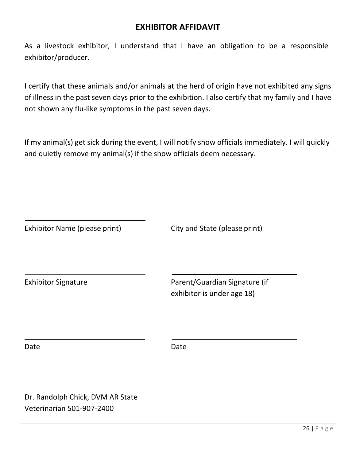### **EXHIBITOR AFFIDAVIT**

As a livestock exhibitor, I understand that I have an obligation to be a responsible exhibitor/producer.

I certify that these animals and/or animals at the herd of origin have not exhibited any signs of illness in the past seven days prior to the exhibition. I also certify that my family and I have not shown any flu-like symptoms in the past seven days.

If my animal(s) get sick during the event, I will notify show officials immediately. I will quickly and quietly remove my animal(s) if the show officials deem necessary.

| Exhibitor Name (please print) | City and State (please print)                               |
|-------------------------------|-------------------------------------------------------------|
| <b>Exhibitor Signature</b>    | Parent/Guardian Signature (if<br>exhibitor is under age 18) |
| Date                          | Date                                                        |

Dr. Randolph Chick, DVM AR State Veterinarian 501-907-2400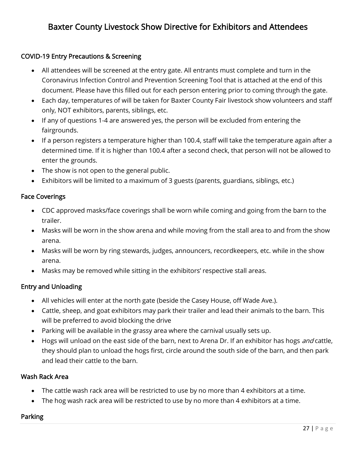# Baxter County Livestock Show Directive for Exhibitors and Attendees

### COVID-19 Entry Precautions & Screening

- All attendees will be screened at the entry gate. All entrants must complete and turn in the Coronavirus Infection Control and Prevention Screening Tool that is attached at the end of this document. Please have this filled out for each person entering prior to coming through the gate.
- Each day, temperatures of will be taken for Baxter County Fair livestock show volunteers and staff only, NOT exhibitors, parents, siblings, etc.
- If any of questions 1-4 are answered yes, the person will be excluded from entering the fairgrounds.
- If a person registers a temperature higher than 100.4, staff will take the temperature again after a determined time. If it is higher than 100.4 after a second check, that person will not be allowed to enter the grounds.
- The show is not open to the general public.
- Exhibitors will be limited to a maximum of 3 guests (parents, guardians, siblings, etc.)

#### Face Coverings

- CDC approved masks/face coverings shall be worn while coming and going from the barn to the trailer.
- Masks will be worn in the show arena and while moving from the stall area to and from the show arena.
- Masks will be worn by ring stewards, judges, announcers, recordkeepers, etc. while in the show arena.
- Masks may be removed while sitting in the exhibitors' respective stall areas.

### Entry and Unloading

- All vehicles will enter at the north gate (beside the Casey House, off Wade Ave.).
- Cattle, sheep, and goat exhibitors may park their trailer and lead their animals to the barn. This will be preferred to avoid blocking the drive
- Parking will be available in the grassy area where the carnival usually sets up.
- Hogs will unload on the east side of the barn, next to Arena Dr. If an exhibitor has hogs and cattle, they should plan to unload the hogs first, circle around the south side of the barn, and then park and lead their cattle to the barn.

#### Wash Rack Area

- The cattle wash rack area will be restricted to use by no more than 4 exhibitors at a time.
- The hog wash rack area will be restricted to use by no more than 4 exhibitors at a time.

### Parking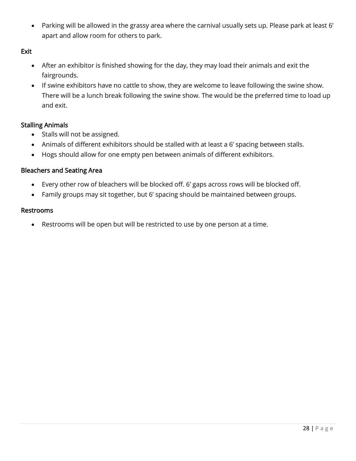• Parking will be allowed in the grassy area where the carnival usually sets up. Please park at least 6' apart and allow room for others to park.

### Exit

- After an exhibitor is finished showing for the day, they may load their animals and exit the fairgrounds.
- If swine exhibitors have no cattle to show, they are welcome to leave following the swine show. There will be a lunch break following the swine show. The would be the preferred time to load up and exit.

### Stalling Animals

- Stalls will not be assigned.
- Animals of different exhibitors should be stalled with at least a 6' spacing between stalls.
- Hogs should allow for one empty pen between animals of different exhibitors.

### Bleachers and Seating Area

- Every other row of bleachers will be blocked off. 6' gaps across rows will be blocked off.
- Family groups may sit together, but 6' spacing should be maintained between groups.

#### Restrooms

• Restrooms will be open but will be restricted to use by one person at a time.